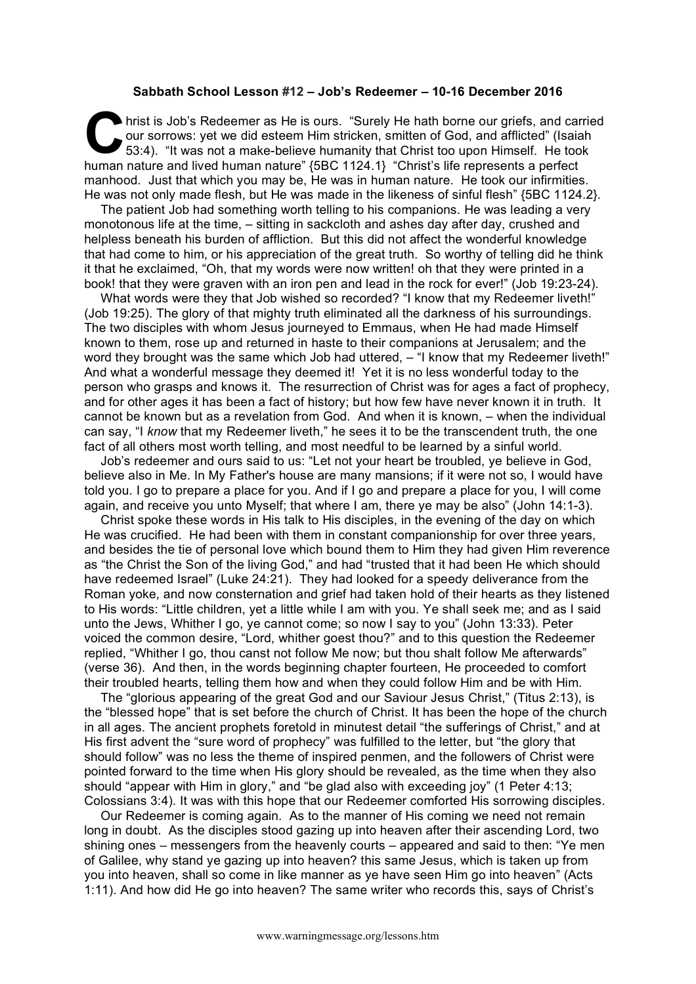## **Sabbath School Lesson #12 – Job's Redeemer – 10-16 December 2016**

hrist is Job's Redeemer as He is ours. "Surely He hath borne our griefs, and carried our sorrows: yet we did esteem Him stricken, smitten of God, and afflicted" (Isaiah 53:4). "It was not a make-believe humanity that Christ too upon Himself. He took human nature and lived human nature" {5BC 1124.1} "Christ's life represents a perfect manhood. Just that which you may be, He was in human nature. He took our infirmities. He was not only made flesh, but He was made in the likeness of sinful flesh" {5BC 1124.2}.  $\mathbf{C}$   $\overset{\text{hri:}}{\underset{53}{\text{ou}}}$ 

The patient Job had something worth telling to his companions. He was leading a very monotonous life at the time, – sitting in sackcloth and ashes day after day, crushed and helpless beneath his burden of affliction. But this did not affect the wonderful knowledge that had come to him, or his appreciation of the great truth. So worthy of telling did he think it that he exclaimed, "Oh, that my words were now written! oh that they were printed in a book! that they were graven with an iron pen and lead in the rock for ever!" (Job 19:23-24).

What words were they that Job wished so recorded? "I know that my Redeemer liveth!" (Job 19:25). The glory of that mighty truth eliminated all the darkness of his surroundings. The two disciples with whom Jesus journeyed to Emmaus, when He had made Himself known to them, rose up and returned in haste to their companions at Jerusalem; and the word they brought was the same which Job had uttered,  $-$  "I know that my Redeemer liveth!" And what a wonderful message they deemed it! Yet it is no less wonderful today to the person who grasps and knows it. The resurrection of Christ was for ages a fact of prophecy, and for other ages it has been a fact of history; but how few have never known it in truth. It cannot be known but as a revelation from God. And when it is known, – when the individual can say, "I *know* that my Redeemer liveth," he sees it to be the transcendent truth, the one fact of all others most worth telling, and most needful to be learned by a sinful world.

Job's redeemer and ours said to us: "Let not your heart be troubled, ye believe in God, believe also in Me. In My Father's house are many mansions; if it were not so, I would have told you. I go to prepare a place for you. And if I go and prepare a place for you, I will come again, and receive you unto Myself; that where I am, there ye may be also" (John 14:1-3).

Christ spoke these words in His talk to His disciples, in the evening of the day on which He was crucified. He had been with them in constant companionship for over three years, and besides the tie of personal love which bound them to Him they had given Him reverence as "the Christ the Son of the living God," and had "trusted that it had been He which should have redeemed Israel" (Luke 24:21). They had looked for a speedy deliverance from the Roman yoke, and now consternation and grief had taken hold of their hearts as they listened to His words: "Little children, yet a little while I am with you. Ye shall seek me; and as I said unto the Jews, Whither I go, ye cannot come; so now I say to you" (John 13:33). Peter voiced the common desire, "Lord, whither goest thou?" and to this question the Redeemer replied, "Whither I go, thou canst not follow Me now; but thou shalt follow Me afterwards" (verse 36). And then, in the words beginning chapter fourteen, He proceeded to comfort their troubled hearts, telling them how and when they could follow Him and be with Him.

The "glorious appearing of the great God and our Saviour Jesus Christ," (Titus 2:13), is the "blessed hope" that is set before the church of Christ. It has been the hope of the church in all ages. The ancient prophets foretold in minutest detail "the sufferings of Christ," and at His first advent the "sure word of prophecy" was fulfilled to the letter, but "the glory that should follow" was no less the theme of inspired penmen, and the followers of Christ were pointed forward to the time when His glory should be revealed, as the time when they also should "appear with Him in glory," and "be glad also with exceeding joy" (1 Peter 4:13; Colossians 3:4). It was with this hope that our Redeemer comforted His sorrowing disciples.

Our Redeemer is coming again. As to the manner of His coming we need not remain long in doubt. As the disciples stood gazing up into heaven after their ascending Lord, two shining ones – messengers from the heavenly courts – appeared and said to then: "Ye men of Galilee, why stand ye gazing up into heaven? this same Jesus, which is taken up from you into heaven, shall so come in like manner as ye have seen Him go into heaven" (Acts 1:11). And how did He go into heaven? The same writer who records this, says of Christ's